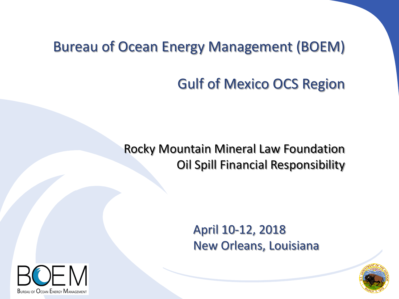### Bureau of Ocean Energy Management (BOEM)

## Gulf of Mexico OCS Region

#### Rocky Mountain Mineral Law Foundation Oil Spill Financial Responsibility

#### April 10-12, 2018 New Orleans, Louisiana



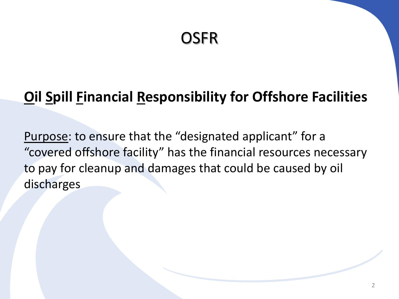### **OSFR**

### **Oil Spill Financial Responsibility for Offshore Facilities**

Purpose: to ensure that the "designated applicant" for a "covered offshore facility" has the financial resources necessary to pay for cleanup and damages that could be caused by oil discharges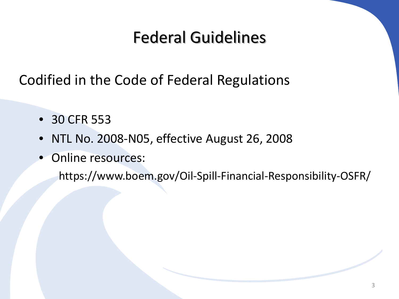# Federal Guidelines

Codified in the Code of Federal Regulations

- 30 CFR 553
- NTL No. 2008-N05, effective August 26, 2008
- Online resources:

https://www.boem.gov/Oil-Spill-Financial-Responsibility-OSFR/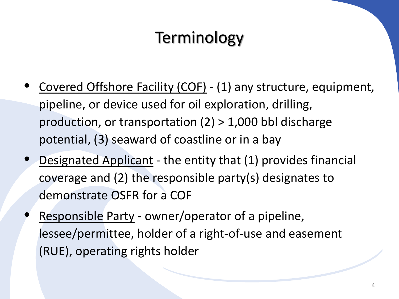# Terminology

- Covered Offshore Facility (COF) (1) any structure, equipment, pipeline, or device used for oil exploration, drilling, production, or transportation (2) > 1,000 bbl discharge potential, (3) seaward of coastline or in a bay
- Designated Applicant the entity that (1) provides financial coverage and (2) the responsible party(s) designates to demonstrate OSFR for a COF
- Responsible Party owner/operator of a pipeline, lessee/permittee, holder of a right-of-use and easement (RUE), operating rights holder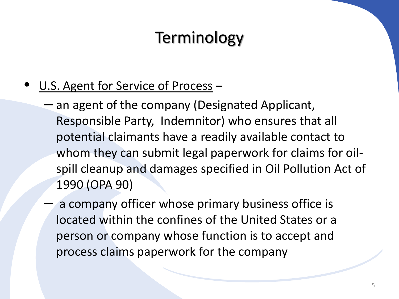# **Terminology**

#### U.S. Agent for Service of Process -

- an agent of the company (Designated Applicant, Responsible Party, Indemnitor) who ensures that all potential claimants have a readily available contact to whom they can submit legal paperwork for claims for oilspill cleanup and damages specified in Oil Pollution Act of 1990 (OPA 90)
- a company officer whose primary business office is located within the confines of the United States or a person or company whose function is to accept and process claims paperwork for the company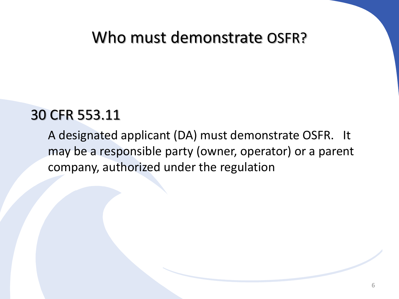### Who must demonstrate OSFR?

#### 30 CFR 553.11

A designated applicant (DA) must demonstrate OSFR. It may be a responsible party (owner, operator) or a parent company, authorized under the regulation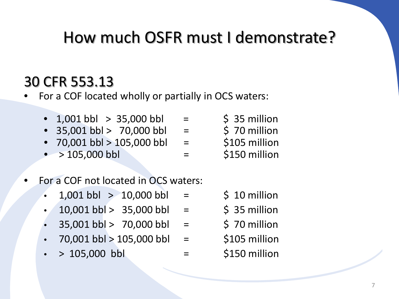# How much OSFR must I demonstrate?

### 30 CFR 553.13

• For a COF located wholly or partially in OCS waters:

- 1,001 bbl  $> 35,000$  bbl =  $\qquad \qquad$  \$ 35 million
- $35,001$  bbl >  $70,000$  bbl =  $\frac{1}{5}$  70 million
- 70,001 bbl > 105,000 bbl =  $$105$  million
- $> 105,000$  bbl  $=$  \$150 million
- 
- 
- 
- 
- For a COF not located in OCS waters:
	- $1,001$  bbl  $> 10,000$  bbl =  $\frac{1}{5}$  10 million
	- $10,001$  bbl >  $35,000$  bbl =  $\frac{1}{5}$  35 million
	- $35,001$  bbl > 70,000 bbl =  $\frac{1}{2}$  \$ 70 million
	- 70,001 bbl > 105,000 bbl = \$105 million
	- $> 105,000$  bbl  $=$  \$150 million
- 
- 
- 
- 
-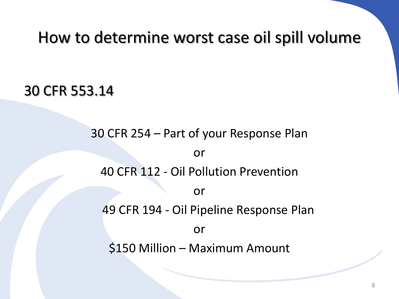### How to determine worst case oil spill volume

#### 30 CFR 553.14

## 30 CFR 254 – Part of your Response Plan or 40 CFR 112 - Oil Pollution Prevention or 49 CFR 194 - Oil Pipeline Response Plan or \$150 Million – Maximum Amount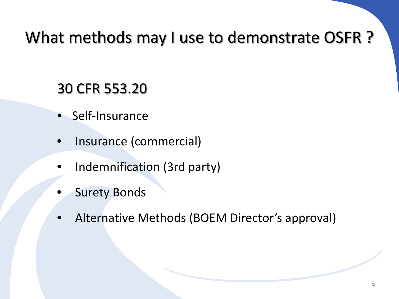# What methods may I use to demonstrate OSFR ?

- Self-Insurance
- Insurance (commercial)
- Indemnification (3rd party)
- **Surety Bonds**
- Alternative Methods (BOEM Director's approval)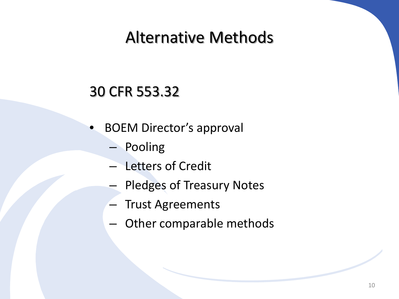## Alternative Methods

- BOEM Director's approval
	- Pooling
	- Letters of Credit
	- Pledges of Treasury Notes
	- Trust Agreements
	- Other comparable methods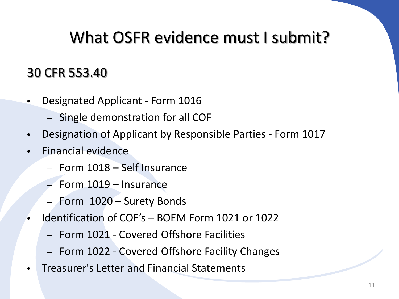# What OSFR evidence must I submit?

- Designated Applicant Form 1016
	- Single demonstration for all COF
- Designation of Applicant by Responsible Parties Form 1017
- Financial evidence
	- Form 1018 Self Insurance
	- Form 1019 Insurance
	- Form 1020 Surety Bonds
- Identification of COF's BOEM Form 1021 or 1022
	- Form 1021 Covered Offshore Facilities
	- Form 1022 Covered Offshore Facility Changes
- Treasurer's Letter and Financial Statements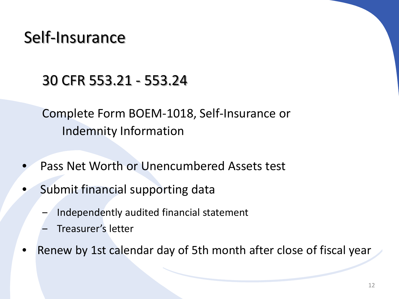## Self-Insurance

### 30 CFR 553.21 - 553.24

Complete Form BOEM-1018, Self-Insurance or Indemnity Information

- Pass Net Worth or Unencumbered Assets test
- Submit financial supporting data
	- ‒ Independently audited financial statement
	- ‒ Treasurer's letter
- Renew by 1st calendar day of 5th month after close of fiscal year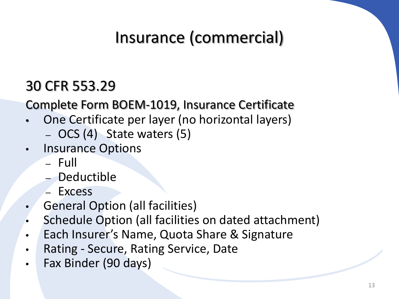# Insurance (commercial)

### 30 CFR 553.29

Complete Form BOEM-1019, Insurance Certificate

- One Certificate per layer (no horizontal layers)
	- OCS (4) State waters (5)
- Insurance Options
	- Full
	- Deductible
	- Excess
- General Option (all facilities)
- Schedule Option (all facilities on dated attachment)
- Each Insurer's Name, Quota Share & Signature
- Rating Secure, Rating Service, Date
- Fax Binder (90 days)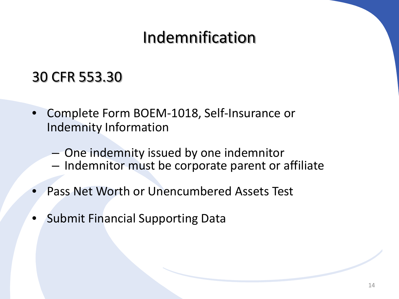# Indemnification

- Complete Form BOEM-1018, Self-Insurance or Indemnity Information
	- One indemnity issued by one indemnitor
	- Indemnitor must be corporate parent or affiliate
- Pass Net Worth or Unencumbered Assets Test
- Submit Financial Supporting Data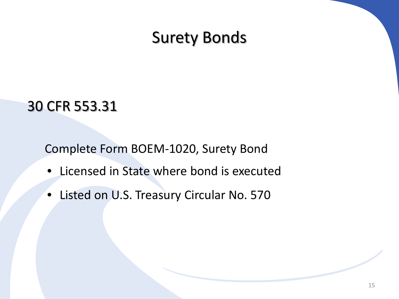### Surety Bonds

### 30 CFR 553.31

Complete Form BOEM-1020, Surety Bond

- Licensed in State where bond is executed
- Listed on U.S. Treasury Circular No. 570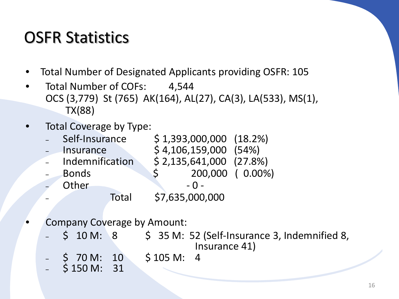# OSFR Statistics

- Total Number of Designated Applicants providing OSFR: 105
- Total Number of COFs: 4,544 OCS (3,779) St (765) AK(164), AL(27), CA(3), LA(533), MS(1), TX(88)
- Total Coverage by Type:

| Self-Insurance  |       |                        | $$1,393,000,000$ $(18.2\%)$ |                  |
|-----------------|-------|------------------------|-----------------------------|------------------|
| Insurance       |       | $$4,106,159,000$ (54%) |                             |                  |
| Indemnification |       |                        | $$2,135,641,000$ (27.8%)    |                  |
| <b>Bonds</b>    |       | S.                     |                             | 200,000 ( 0.00%) |
| Other           |       |                        | $-0-$                       |                  |
|                 | Total |                        | \$7,635,000,000             |                  |

- Company Coverage by Amount:
	- $$ 10 M: 8 \t$ 35 M: 52 (Self-Insurance 3, Indemnified 8,$ Insurance 41)
	- ‒ \$ 70 M: 10 \$ 105 M: 4
	- $-$  \$ 150 M: 31